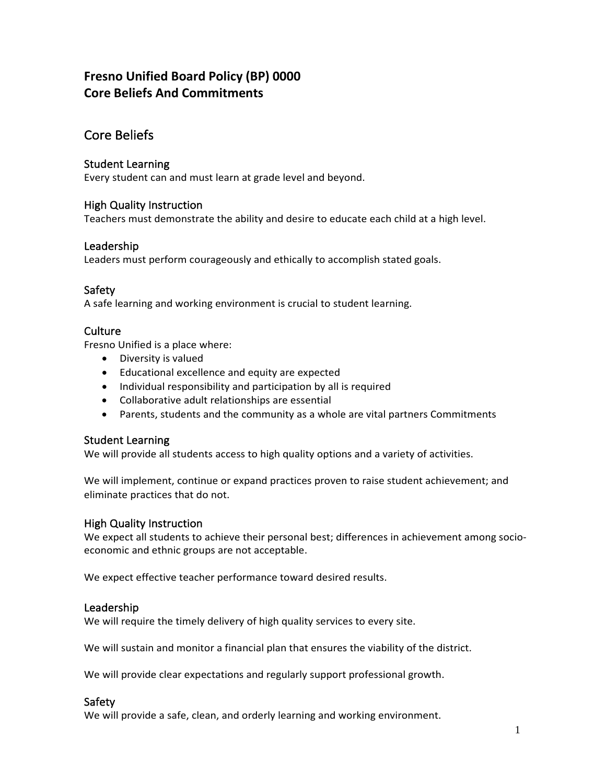# **Fresno Unified Board Policy (BP) 0000 Core Beliefs And Commitments**

## Core Beliefs

#### Student Learning

Every student can and must learn at grade level and beyond.

#### High Quality Instruction

Teachers must demonstrate the ability and desire to educate each child at a high level.

#### Leadership

Leaders must perform courageously and ethically to accomplish stated goals.

### Safety

A safe learning and working environment is crucial to student learning.

#### **Culture**

Fresno Unified is a place where:

- Diversity is valued
- Educational excellence and equity are expected
- Individual responsibility and participation by all is required
- Collaborative adult relationships are essential
- Parents, students and the community as a whole are vital partners Commitments

#### Student Learning

We will provide all students access to high quality options and a variety of activities.

We will implement, continue or expand practices proven to raise student achievement; and eliminate practices that do not.

#### High Quality Instruction

We expect all students to achieve their personal best; differences in achievement among socioeconomic and ethnic groups are not acceptable.

We expect effective teacher performance toward desired results.

#### Leadership

We will require the timely delivery of high quality services to every site.

We will sustain and monitor a financial plan that ensures the viability of the district.

We will provide clear expectations and regularly support professional growth.

#### Safety

We will provide a safe, clean, and orderly learning and working environment.